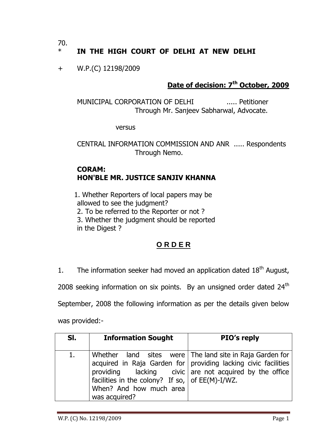70.

# IN THE HIGH COURT OF DELHI AT NEW DELHI

+ W.P.(C) 12198/2009

## **Date of decision: 7th October, 2009**

MUNICIPAL CORPORATION OF DELHI ..... Petitioner Through Mr. Sanjeev Sabharwal, Advocate.

versus

CENTRAL INFORMATION COMMISSION AND ANR ..... Respondents Through Nemo.

#### **CORAM: HON'BLE MR. JUSTICE SANJIV KHANNA**

1. Whether Reporters of local papers may be allowed to see the judgment? 2. To be referred to the Reporter or not ? 3. Whether the judgment should be reported in the Digest ?

# **O R D E R**

1. The information seeker had moved an application dated  $18<sup>th</sup>$  August,

2008 seeking information on six points. By an unsigned order dated  $24<sup>th</sup>$ 

September, 2008 the following information as per the details given below

was provided:-

| SI.            | <b>Information Sought</b>                                                                       | PIO's reply                                                                                                                                                                            |
|----------------|-------------------------------------------------------------------------------------------------|----------------------------------------------------------------------------------------------------------------------------------------------------------------------------------------|
| $\mathbf{1}$ . | facilities in the colony? If so, $ $ of EE(M)-I/WZ.<br>When? And how much area<br>was acquired? | Whether land sites were   The land site in Raja Garden for<br>acquired in Raja Garden for providing lacking civic facilities<br>providing lacking civic are not acquired by the office |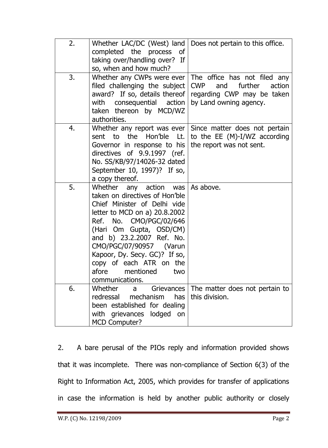| 2. | Whether LAC/DC (West) land<br>completed the process of<br>taking over/handling over? If<br>so, when and how much?                                                                                                                                                                                                                                             | Does not pertain to this office.                                                                                                                 |
|----|---------------------------------------------------------------------------------------------------------------------------------------------------------------------------------------------------------------------------------------------------------------------------------------------------------------------------------------------------------------|--------------------------------------------------------------------------------------------------------------------------------------------------|
| 3. | Whether any CWPs were ever  <br>filed challenging the subject CWP<br>with consequential action<br>taken thereon by MCD/WZ<br>authorities.                                                                                                                                                                                                                     | The office has not filed any<br>further<br>action<br>and<br>award? If so, details thereof   regarding CWP may be taken<br>by Land owning agency. |
| 4. | sent to the Hon'ble Lt.<br>Governor in response to his<br>directives of 9.9.1997 (ref.<br>No. SS/KB/97/14026-32 dated<br>September 10, 1997)? If so,<br>a copy thereof.                                                                                                                                                                                       | Whether any report was ever $\vert$ Since matter does not pertain<br>to the EE $(M)-I/WZ$ according<br>the report was not sent.                  |
| 5. | Whether any action was As above.<br>taken on directives of Hon'ble<br>Chief Minister of Delhi vide<br>letter to MCD on a) 20.8.2002<br>Ref. No. CMO/PGC/02/646<br>(Hari Om Gupta, OSD/CM)<br>and b) 23.2.2007 Ref. No.<br>CMO/PGC/07/90957 (Varun<br>Kapoor, Dy. Secy. GC)? If so,<br>copy of each ATR on the<br>afore<br>mentioned<br>two<br>communications. |                                                                                                                                                  |
| 6. | Whether<br>Grievances  <br>a<br>redressal<br>mechanism<br>has<br>been established for dealing<br>lodged<br>with grievances<br>on<br><b>MCD Computer?</b>                                                                                                                                                                                                      | The matter does not pertain to<br>this division.                                                                                                 |

2. A bare perusal of the PIOs reply and information provided shows that it was incomplete. There was non-compliance of Section 6(3) of the Right to Information Act, 2005, which provides for transfer of applications in case the information is held by another public authority or closely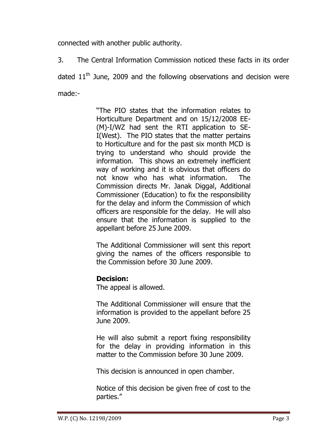connected with another public authority.

3. The Central Information Commission noticed these facts in its order

dated  $11<sup>th</sup>$  June, 2009 and the following observations and decision were made:-

> "The PIO states that the information relates to Horticulture Department and on 15/12/2008 EE- (M)-I/WZ had sent the RTI application to SE-I(West). The PIO states that the matter pertains to Horticulture and for the past six month MCD is trying to understand who should provide the information. This shows an extremely inefficient way of working and it is obvious that officers do not know who has what information. The Commission directs Mr. Janak Diggal, Additional Commissioner (Education) to fix the responsibility for the delay and inform the Commission of which officers are responsible for the delay. He will also ensure that the information is supplied to the appellant before 25 June 2009.

> The Additional Commissioner will sent this report giving the names of the officers responsible to the Commission before 30 June 2009.

# **Decision:**

The appeal is allowed.

The Additional Commissioner will ensure that the information is provided to the appellant before 25 June 2009.

He will also submit a report fixing responsibility for the delay in providing information in this matter to the Commission before 30 June 2009.

This decision is announced in open chamber.

Notice of this decision be given free of cost to the parties."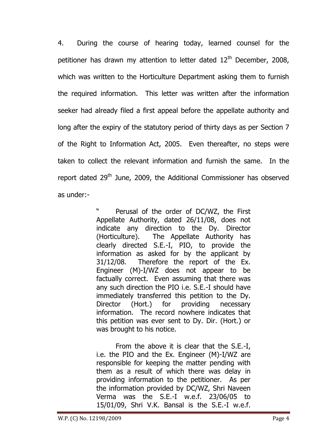4. During the course of hearing today, learned counsel for the petitioner has drawn my attention to letter dated  $12<sup>th</sup>$  December, 2008, which was written to the Horticulture Department asking them to furnish the required information. This letter was written after the information seeker had already filed a first appeal before the appellate authority and long after the expiry of the statutory period of thirty days as per Section 7 of the Right to Information Act, 2005. Even thereafter, no steps were taken to collect the relevant information and furnish the same. In the report dated 29<sup>th</sup> June, 2009, the Additional Commissioner has observed as under:-

> Perusal of the order of DC/WZ, the First Appellate Authority, dated 26/11/08, does not indicate any direction to the Dy. Director (Horticulture). The Appellate Authority has clearly directed S.E.-I, PIO, to provide the information as asked for by the applicant by 31/12/08. Therefore the report of the Ex. Engineer (M)-I/WZ does not appear to be factually correct. Even assuming that there was any such direction the PIO i.e. S.E.-I should have immediately transferred this petition to the Dy. Director (Hort.) for providing necessary information. The record nowhere indicates that this petition was ever sent to Dy. Dir. (Hort.) or was brought to his notice.

> From the above it is clear that the S.E.-I, i.e. the PIO and the Ex. Engineer (M)-I/WZ are responsible for keeping the matter pending with them as a result of which there was delay in providing information to the petitioner. As per the information provided by DC/WZ, Shri Naveen Verma was the S.E.-I w.e.f. 23/06/05 to 15/01/09, Shri V.K. Bansal is the S.E.-I w.e.f.